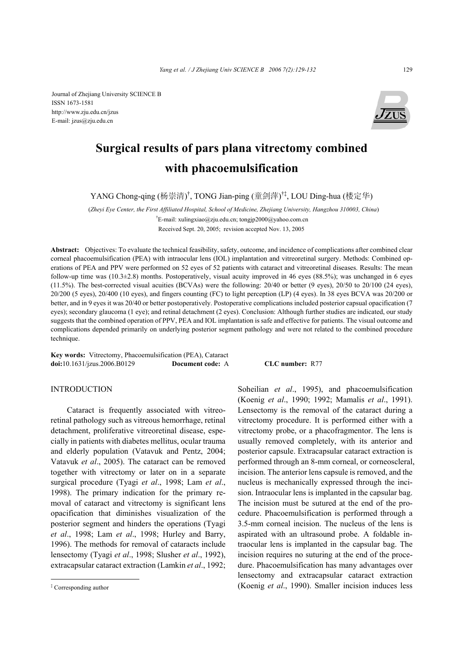Journal of Zhejiang University SCIENCE B ISSN 1673-1581 http://www.zju.edu.cn/jzus E-mail: jzus@zju.edu.cn



# **Surgical results of pars plana vitrectomy combined with phacoemulsification**

YANG Chong-qing (杨崇清)<sup>†</sup>, TONG Jian-ping (童剑萍)<sup>†‡</sup>, LOU Ding-hua (楼定华)

(*Zheyi Eye Center, the First Affiliated Hospital, School of Medicine, Zhejiang University, Hangzhou 310003, China*) † E-mail: xulingxiao@zju.edu.cn; tongjp2000@yahoo.com.cn Received Sept. 20, 2005; revision accepted Nov. 13, 2005

**Abstract:** Objectives: To evaluate the technical feasibility, safety, outcome, and incidence of complications after combined clear corneal phacoemulsification (PEA) with intraocular lens (IOL) implantation and vitreoretinal surgery. Methods: Combined operations of PEA and PPV were performed on 52 eyes of 52 patients with cataract and vitreoretinal diseases. Results: The mean follow-up time was  $(10.3\pm 2.8)$  months. Postoperatively, visual acuity improved in 46 eyes  $(88.5%)$ ; was unchanged in 6 eyes  $(11.5%)$ . The best-corrected visual acuities (BCVAs) were the following: 20/40 or better (9 eyes), 20/50 to 20/100 (24 eyes), 20/200 (5 eyes), 20/400 (10 eyes), and fingers counting (FC) to light perception (LP) (4 eyes). In 38 eyes BCVA was 20/200 or better, and in 9 eyes it was 20/40 or better postoperatively. Postoperative complications included posterior capsual opacification (7 eyes); secondary glaucoma (1 eye); and retinal detachment (2 eyes). Conclusion: Although further studies are indicated, our study suggests that the combined operation of PPV, PEA and IOL implantation is safe and effective for patients. The visual outcome and complications depended primarily on underlying posterior segment pathology and were not related to the combined procedure technique.

**Key words:** Vitrectomy, Phacoemulsification (PEA), Cataract **doi:**10.1631/jzus.2006.B0129 **Document code:** A **CLC number:** R77

# **INTRODUCTION**

Cataract is frequently associated with vitreoretinal pathology such as vitreous hemorrhage, retinal detachment, proliferative vitreoretinal disease, especially in patients with diabetes mellitus, ocular trauma and elderly population (Vatavuk and Pentz, 2004; Vatavuk *et al*., 2005). The cataract can be removed together with vitrectomy or later on in a separate surgical procedure (Tyagi *et al*., 1998; Lam *et al*., 1998). The primary indication for the primary removal of cataract and vitrectomy is significant lens opacification that diminishes visualization of the posterior segment and hinders the operations (Tyagi *et al*., 1998; Lam *et al*., 1998; Hurley and Barry, 1996). The methods for removal of cataracts include lensectomy (Tyagi *et al*., 1998; Slusher *et al*., 1992), extracapsular cataract extraction (Lamkin *et al*., 1992;

Soheilian *et al*., 1995), and phacoemulsification (Koenig *et al*., 1990; 1992; Mamalis *et al*., 1991). Lensectomy is the removal of the cataract during a vitrectomy procedure. It is performed either with a vitrectomy probe, or a phacofragmentor. The lens is usually removed completely, with its anterior and posterior capsule. Extracapsular cataract extraction is performed through an 8-mm corneal, or corneoscleral, incision. The anterior lens capsule is removed, and the nucleus is mechanically expressed through the incision. Intraocular lens is implanted in the capsular bag. The incision must be sutured at the end of the procedure. Phacoemulsification is performed through a 3.5-mm corneal incision. The nucleus of the lens is aspirated with an ultrasound probe. A foldable intraocular lens is implanted in the capsular bag. The incision requires no suturing at the end of the procedure. Phacoemulsification has many advantages over lensectomy and extracapsular cataract extraction (Koenig *et al*., 1990). Smaller incision induces less

<sup>‡</sup> Corresponding author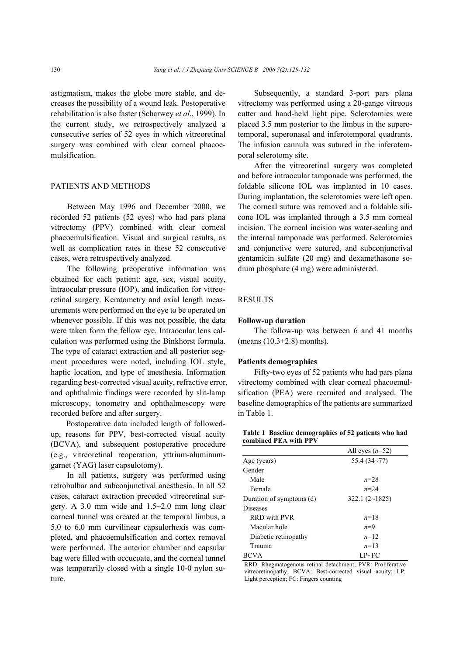astigmatism, makes the globe more stable, and decreases the possibility of a wound leak. Postoperative rehabilitation is also faster (Scharwey *et al*., 1999). In the current study, we retrospectively analyzed a consecutive series of 52 eyes in which vitreoretinal surgery was combined with clear corneal phacoemulsification.

# PATIENTS AND METHODS

Between May 1996 and December 2000, we recorded 52 patients (52 eyes) who had pars plana vitrectomy (PPV) combined with clear corneal phacoemulsification. Visual and surgical results, as well as complication rates in these 52 consecutive cases, were retrospectively analyzed.

The following preoperative information was obtained for each patient: age, sex, visual acuity, intraocular pressure (IOP), and indication for vitreoretinal surgery. Keratometry and axial length measurements were performed on the eye to be operated on whenever possible. If this was not possible, the data were taken form the fellow eye. Intraocular lens calculation was performed using the Binkhorst formula. The type of cataract extraction and all posterior segment procedures were noted, including IOL style, haptic location, and type of anesthesia. Information regarding best-corrected visual acuity, refractive error, and ophthalmic findings were recorded by slit-lamp microscopy, tonometry and ophthalmoscopy were recorded before and after surgery.

Postoperative data included length of followedup, reasons for PPV, best-corrected visual acuity (BCVA), and subsequent postoperative procedure (e.g., vitreoretinal reoperation, yttrium-aluminumgarnet (YAG) laser capsulotomy).

In all patients, surgery was performed using retrobulbar and subconjunctival anesthesia. In all 52 cases, cataract extraction preceded vitreoretinal surgery. A 3.0 mm wide and 1.5~2.0 mm long clear corneal tunnel was created at the temporal limbus, a 5.0 to 6.0 mm curvilinear capsulorhexis was completed, and phacoemulsification and cortex removal were performed. The anterior chamber and capsular bag were filled with occucoate, and the corneal tunnel was temporarily closed with a single 10-0 nylon suture.

Subsequently, a standard 3-port pars plana vitrectomy was performed using a 20-gange vitreous cutter and hand-held light pipe. Sclerotomies were placed 3.5 mm posterior to the limbus in the superotemporal, superonasal and inferotemporal quadrants. The infusion cannula was sutured in the inferotemporal selerotomy site.

After the vitreoretinal surgery was completed and before intraocular tamponade was performed, the foldable silicone IOL was implanted in 10 cases. During implantation, the sclerotomies were left open. The corneal suture was removed and a foldable silicone IOL was implanted through a 3.5 mm corneal incision. The corneal incision was water-sealing and the internal tamponade was performed. Sclerotomies and conjunctive were sutured, and subconjunctival gentamicin sulfate (20 mg) and dexamethasone sodium phosphate (4 mg) were administered.

## RESULTS

#### **Follow-up duration**

The follow-up was between 6 and 41 months (means  $(10.3\pm2.8)$  months).

#### **Patients demographics**

Fifty-two eyes of 52 patients who had pars plana vitrectomy combined with clear corneal phacoemulsification (PEA) were recruited and analysed. The baseline demographics of the patients are summarized in Table 1.

**Table 1 Baseline demographics of 52 patients who had combined PEA with PPV** 

|                          | All eyes $(n=52)$ |  |
|--------------------------|-------------------|--|
| Age (years)              | 55.4(34~77)       |  |
| Gender                   |                   |  |
| Male                     | $n = 2.8$         |  |
| Female                   | $n=2.4$           |  |
| Duration of symptoms (d) | 322.1 $(2~1825)$  |  |
| <b>Diseases</b>          |                   |  |
| <b>RRD</b> with PVR      | $n=18$            |  |
| Macular hole             | $n=9$             |  |
| Diabetic retinopathy     | $n=12$            |  |
| Trauma                   | $n=13$            |  |
| <b>BCVA</b>              | $LP \sim FC$      |  |

RRD: Rhegmatogenous retinal detachment; PVR: Proliferative vitreoretinopathy; BCVA: Best-corrected visual acuity; LP: Light perception; FC: Fingers counting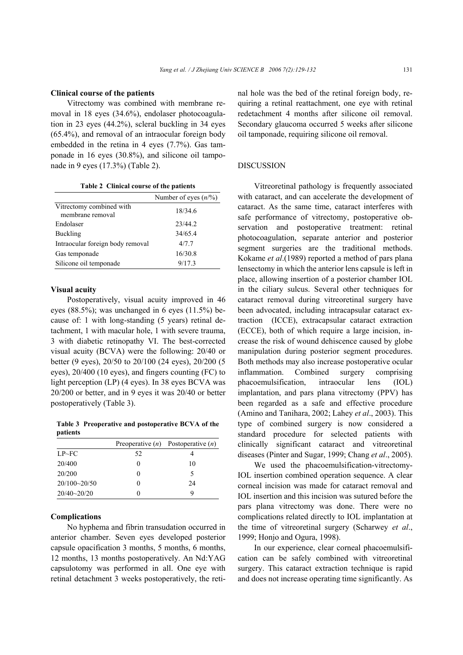#### **Clinical course of the patients**

Vitrectomy was combined with membrane removal in 18 eyes (34.6%), endolaser photocoagulation in 23 eyes (44.2%), scleral buckling in 34 eyes (65.4%), and removal of an intraocular foreign body embedded in the retina in 4 eyes (7.7%). Gas tamponade in 16 eyes (30.8%), and silicone oil tamponade in 9 eyes (17.3%) (Table 2).

**Table 2 Clinical course of the patients** 

|                                              | Number of eyes $(n/\%)$ |
|----------------------------------------------|-------------------------|
| Vitrectomy combined with<br>membrane removal | 18/34.6                 |
| Endolaser                                    | 23/44.2                 |
| Buckling                                     | 34/65.4                 |
| Intraocular foreign body removal             | 4/7.7                   |
| Gas temponade                                | 16/30.8                 |
| Silicone oil temponade                       | 9/17.3                  |

#### **Visual acuity**

Postoperatively, visual acuity improved in 46 eyes (88.5%); was unchanged in 6 eyes (11.5%) because of: 1 with long-standing (5 years) retinal detachment, 1 with macular hole, 1 with severe trauma, 3 with diabetic retinopathy VI. The best-corrected visual acuity (BCVA) were the following: 20/40 or better (9 eyes), 20/50 to 20/100 (24 eyes), 20/200 (5 eyes), 20/400 (10 eyes), and fingers counting (FC) to light perception (LP) (4 eyes). In 38 eyes BCVA was 20/200 or better, and in 9 eyes it was 20/40 or better postoperatively (Table 3).

**Table 3 Preoperative and postoperative BCVA of the patients** 

|                 |    | Preoperative $(n)$ Postoperative $(n)$ |
|-----------------|----|----------------------------------------|
| LP~FC           | 52 |                                        |
| 20/400          |    | 10                                     |
| 20/200          |    | 5                                      |
| 20/100~20/50    |    | 24                                     |
| $20/40 - 20/20$ |    | Q                                      |

### **Complications**

No hyphema and fibrin transudation occurred in anterior chamber. Seven eyes developed posterior capsule opacification 3 months, 5 months, 6 months, 12 months, 13 months postoperatively. An Nd:YAG capsulotomy was performed in all. One eye with retinal detachment 3 weeks postoperatively, the retinal hole was the bed of the retinal foreign body, requiring a retinal reattachment, one eye with retinal redetachment 4 months after silicone oil removal. Secondary glaucoma occurred 5 weeks after silicone oil tamponade, requiring silicone oil removal.

## DISCUSSION

Vitreoretinal pathology is frequently associated with cataract, and can accelerate the development of cataract. As the same time, cataract interferes with safe performance of vitrectomy, postoperative observation and postoperative treatment: retinal photocoagulation, separate anterior and posterior segment surgeries are the traditional methods. Kokame *et al*.(1989) reported a method of pars plana lensectomy in which the anterior lens capsule is left in place, allowing insertion of a posterior chamber IOL in the ciliary sulcus. Several other techniques for cataract removal during vitreoretinal surgery have been advocated, including intracapsular cataract extraction (ICCE), extracapsular cataract extraction (ECCE), both of which require a large incision, increase the risk of wound dehiscence caused by globe manipulation during posterior segment procedures. Both methods may also increase postoperative ocular inflammation. Combined surgery comprising phacoemulsification, intraocular lens (IOL) implantation, and pars plana vitrectomy (PPV) has been regarded as a safe and effective procedure (Amino and Tanihara, 2002; Lahey *et al*., 2003). This type of combined surgery is now considered a standard procedure for selected patients with clinically significant cataract and vitreoretinal diseases (Pinter and Sugar, 1999; Chang *et al*., 2005).

We used the phacoemulsification-vitrectomy-IOL insertion combined operation sequence. A clear corneal incision was made for cataract removal and IOL insertion and this incision was sutured before the pars plana vitrectomy was done. There were no complications related directly to IOL implantation at the time of vitreoretinal surgery (Scharwey *et al*., 1999; Honjo and Ogura, 1998).

In our experience, clear corneal phacoemulsification can be safely combined with vitreoretinal surgery. This cataract extraction technique is rapid and does not increase operating time significantly. As